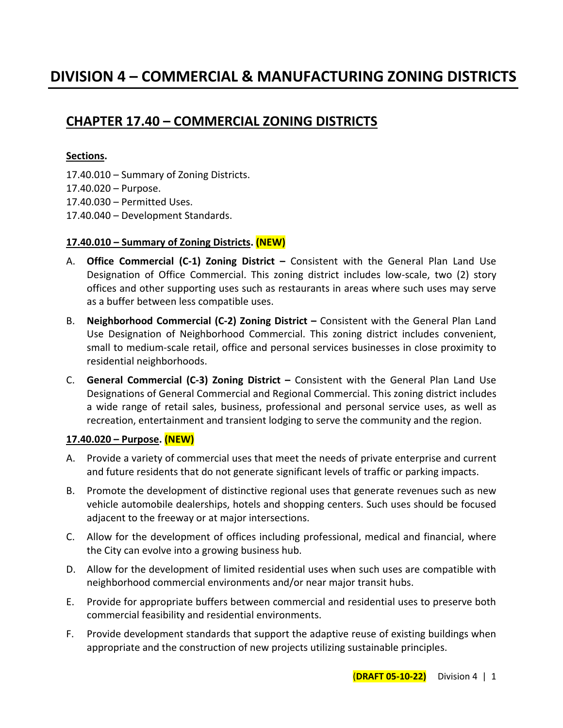# **CHAPTER 17.40 – COMMERCIAL ZONING DISTRICTS**

# **Sections.**

- 17.40.010 Summary of Zoning Districts.
- 17.40.020 Purpose.
- 17.40.030 Permitted Uses.
- 17.40.040 Development Standards.

# **17.40.010 – Summary of Zoning Districts. (NEW)**

- A. **Office Commercial (C-1) Zoning District –** Consistent with the General Plan Land Use Designation of Office Commercial. This zoning district includes low-scale, two (2) story offices and other supporting uses such as restaurants in areas where such uses may serve as a buffer between less compatible uses.
- B. **Neighborhood Commercial (C-2) Zoning District –** Consistent with the General Plan Land Use Designation of Neighborhood Commercial. This zoning district includes convenient, small to medium-scale retail, office and personal services businesses in close proximity to residential neighborhoods.
- C. **General Commercial (C-3) Zoning District –** Consistent with the General Plan Land Use Designations of General Commercial and Regional Commercial. This zoning district includes a wide range of retail sales, business, professional and personal service uses, as well as recreation, entertainment and transient lodging to serve the community and the region.

#### **17.40.020 – Purpose. (NEW)**

- A. Provide a variety of commercial uses that meet the needs of private enterprise and current and future residents that do not generate significant levels of traffic or parking impacts.
- B. Promote the development of distinctive regional uses that generate revenues such as new vehicle automobile dealerships, hotels and shopping centers. Such uses should be focused adjacent to the freeway or at major intersections.
- C. Allow for the development of offices including professional, medical and financial, where the City can evolve into a growing business hub.
- D. Allow for the development of limited residential uses when such uses are compatible with neighborhood commercial environments and/or near major transit hubs.
- E. Provide for appropriate buffers between commercial and residential uses to preserve both commercial feasibility and residential environments.
- F. Provide development standards that support the adaptive reuse of existing buildings when appropriate and the construction of new projects utilizing sustainable principles.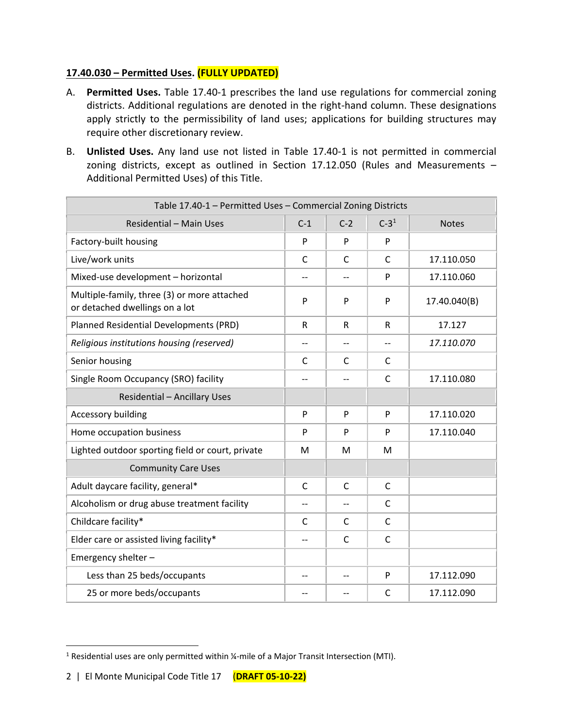# **17.40.030 – Permitted Uses. (FULLY UPDATED)**

- A. **Permitted Uses.** Table 17.40-1 prescribes the land use regulations for commercial zoning districts. Additional regulations are denoted in the right-hand column. These designations apply strictly to the permissibility of land uses; applications for building structures may require other discretionary review.
- B. **Unlisted Uses.** Any land use not listed in Table 17.40-1 is not permitted in commercial zoning districts, except as outlined in Section 17.12.050 (Rules and Measurements – Additional Permitted Uses) of this Title.

| Table 17.40-1 - Permitted Uses - Commercial Zoning Districts                  |              |       |              |              |
|-------------------------------------------------------------------------------|--------------|-------|--------------|--------------|
| Residential - Main Uses                                                       | $C-1$        | $C-2$ | $C - 31$     | <b>Notes</b> |
| Factory-built housing                                                         | P            | P     | P            |              |
| Live/work units                                                               | $\mathsf{C}$ | C     | $\mathsf{C}$ | 17.110.050   |
| Mixed-use development - horizontal                                            |              |       | P            | 17.110.060   |
| Multiple-family, three (3) or more attached<br>or detached dwellings on a lot | P            | P     | P            | 17.40.040(B) |
| Planned Residential Developments (PRD)                                        | $\mathsf{R}$ | R     | R            | 17.127       |
| Religious institutions housing (reserved)                                     | $-$          | $-$   | $-$          | 17.110.070   |
| Senior housing                                                                | C            | C     | C            |              |
| Single Room Occupancy (SRO) facility                                          |              |       | C            | 17.110.080   |
| <b>Residential - Ancillary Uses</b>                                           |              |       |              |              |
| Accessory building                                                            | P            | P     | P            | 17.110.020   |
| Home occupation business                                                      | P            | P     | P            | 17.110.040   |
| Lighted outdoor sporting field or court, private                              | M            | M     | M            |              |
| <b>Community Care Uses</b>                                                    |              |       |              |              |
| Adult daycare facility, general*                                              | C            | C     | C            |              |
| Alcoholism or drug abuse treatment facility                                   |              |       | $\mathsf{C}$ |              |
| Childcare facility*                                                           | C            | C     | C            |              |
| Elder care or assisted living facility*                                       | $-$          | C     | C            |              |
| Emergency shelter -                                                           |              |       |              |              |
| Less than 25 beds/occupants                                                   | $-$          | --    | P            | 17.112.090   |
| 25 or more beds/occupants                                                     |              |       | $\mathsf{C}$ | 17.112.090   |

<sup>&</sup>lt;sup>1</sup> Residential uses are only permitted within ¼-mile of a Major Transit Intersection (MTI).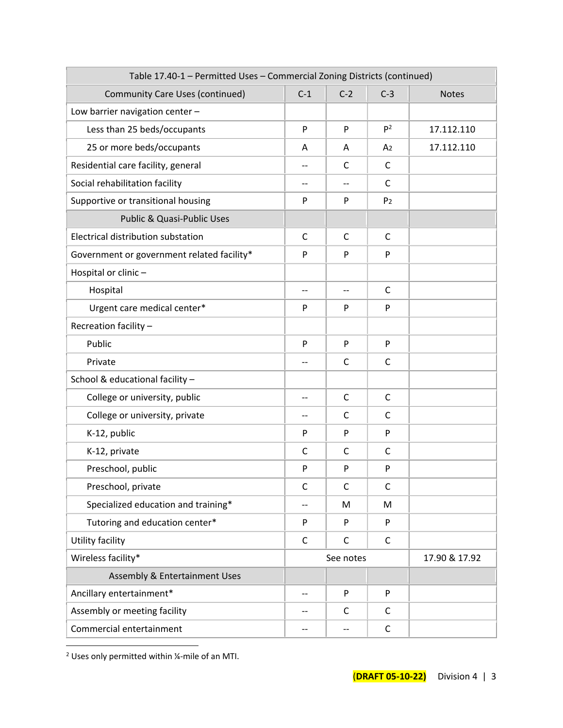| Table 17.40-1 - Permitted Uses - Commercial Zoning Districts (continued) |                          |              |                |               |
|--------------------------------------------------------------------------|--------------------------|--------------|----------------|---------------|
| <b>Community Care Uses (continued)</b>                                   | $C-1$                    | $C-2$        | $C-3$          | <b>Notes</b>  |
| Low barrier navigation center -                                          |                          |              |                |               |
| Less than 25 beds/occupants                                              | P                        | P            | $P^2$          | 17.112.110    |
| 25 or more beds/occupants                                                | A                        | A            | A <sub>2</sub> | 17.112.110    |
| Residential care facility, general                                       |                          | C            | $\mathsf{C}$   |               |
| Social rehabilitation facility                                           | --                       |              | C              |               |
| Supportive or transitional housing                                       | P                        | P            | P <sub>2</sub> |               |
| Public & Quasi-Public Uses                                               |                          |              |                |               |
| Electrical distribution substation                                       | $\mathsf{C}$             | $\mathsf{C}$ | $\mathsf{C}$   |               |
| Government or government related facility*                               | ${\sf P}$                | P            | P              |               |
| Hospital or clinic -                                                     |                          |              |                |               |
| Hospital                                                                 | $\overline{\phantom{a}}$ | $-$          | C              |               |
| Urgent care medical center*                                              | P                        | P            | P              |               |
| Recreation facility -                                                    |                          |              |                |               |
| Public                                                                   | P                        | P            | P              |               |
| Private                                                                  | $-$                      | C            | C              |               |
| School & educational facility -                                          |                          |              |                |               |
| College or university, public                                            | $-$                      | $\mathsf{C}$ | $\mathsf{C}$   |               |
| College or university, private                                           | $-$                      | C            | $\mathsf{C}$   |               |
| K-12, public                                                             | P                        | P            | P              |               |
| K-12, private                                                            | $\mathsf{C}$             | $\mathsf{C}$ | $\mathsf{C}$   |               |
| Preschool, public                                                        | P                        | P            | P              |               |
| Preschool, private                                                       | C                        | $\mathsf{C}$ | C              |               |
| Specialized education and training*                                      | --                       | M            | M              |               |
| Tutoring and education center*                                           | P                        | P            | P              |               |
| <b>Utility facility</b>                                                  | $\mathsf C$              | $\mathsf C$  | $\mathsf C$    |               |
| Wireless facility*                                                       | See notes                |              |                | 17.90 & 17.92 |
| Assembly & Entertainment Uses                                            |                          |              |                |               |
| Ancillary entertainment*                                                 | $\qquad \qquad -$        | P            | P              |               |
| Assembly or meeting facility                                             | $-$                      | C            | C              |               |
| Commercial entertainment                                                 | --                       | $-$          | $\mathsf{C}$   |               |

<sup>2</sup> Uses only permitted within  $\frac{1}{4}$ -mile of an MTI.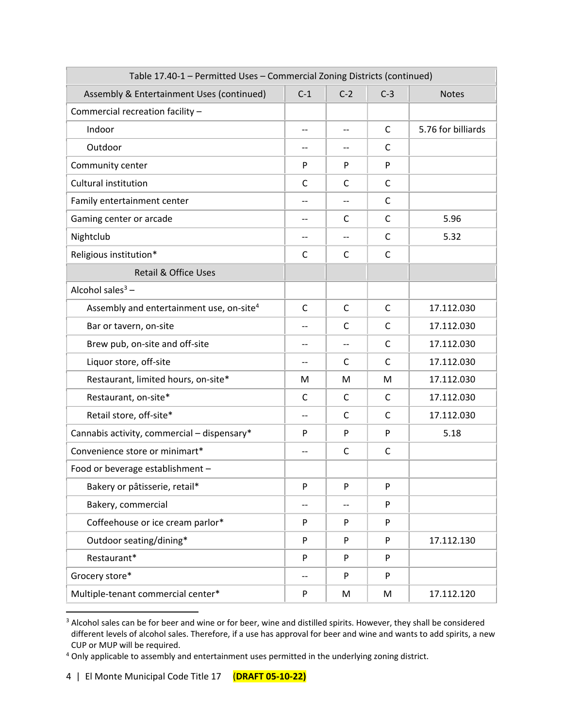| Table 17.40-1 - Permitted Uses - Commercial Zoning Districts (continued) |                          |                          |              |                    |
|--------------------------------------------------------------------------|--------------------------|--------------------------|--------------|--------------------|
| Assembly & Entertainment Uses (continued)                                | $C-1$                    | $C-2$                    | $C-3$        | <b>Notes</b>       |
| Commercial recreation facility -                                         |                          |                          |              |                    |
| Indoor                                                                   | $-$                      | $-$                      | C            | 5.76 for billiards |
| Outdoor                                                                  | $-$                      | $\overline{\phantom{a}}$ | C            |                    |
| Community center                                                         | P                        | P                        | P            |                    |
| Cultural institution                                                     | C                        | $\mathsf{C}$             | $\mathsf{C}$ |                    |
| Family entertainment center                                              | $-$                      | $-$                      | $\mathsf{C}$ |                    |
| Gaming center or arcade                                                  | $-$                      | C                        | C            | 5.96               |
| Nightclub                                                                | $-$                      | $\overline{\phantom{a}}$ | $\mathsf{C}$ | 5.32               |
| Religious institution*                                                   | $\mathsf{C}$             | $\mathsf{C}$             | $\mathsf{C}$ |                    |
| <b>Retail &amp; Office Uses</b>                                          |                          |                          |              |                    |
| Alcohol sales $3 -$                                                      |                          |                          |              |                    |
| Assembly and entertainment use, on-site <sup>4</sup>                     | C                        | C                        | $\mathsf{C}$ | 17.112.030         |
| Bar or tavern, on-site                                                   |                          | C                        | $\mathsf{C}$ | 17.112.030         |
| Brew pub, on-site and off-site                                           | $-$                      | $-$                      | $\mathsf{C}$ | 17.112.030         |
| Liquor store, off-site                                                   |                          | C                        | C            | 17.112.030         |
| Restaurant, limited hours, on-site*                                      | M                        | M                        | M            | 17.112.030         |
| Restaurant, on-site*                                                     | $\mathsf{C}$             | $\mathsf{C}$             | $\mathsf{C}$ | 17.112.030         |
| Retail store, off-site*                                                  | --                       | C                        | C            | 17.112.030         |
| Cannabis activity, commercial - dispensary*                              | P                        | P                        | P            | 5.18               |
| Convenience store or minimart*                                           | $\overline{\phantom{a}}$ | $\mathsf{C}$             | C            |                    |
| Food or beverage establishment -                                         |                          |                          |              |                    |
| Bakery or pâtisserie, retail*                                            | P                        | ${\sf P}$                | P            |                    |
| Bakery, commercial                                                       | --                       | $-\, -$                  | P            |                    |
| Coffeehouse or ice cream parlor*                                         | P                        | P                        | P            |                    |
| Outdoor seating/dining*                                                  | P                        | P                        | P            | 17.112.130         |
| Restaurant*                                                              | P                        | P                        | P            |                    |
| Grocery store*                                                           | --                       | P                        | P            |                    |
| Multiple-tenant commercial center*                                       | P                        | M                        | М            | 17.112.120         |

<sup>&</sup>lt;sup>3</sup> Alcohol sales can be for beer and wine or for beer, wine and distilled spirits. However, they shall be considered different levels of alcohol sales. Therefore, if a use has approval for beer and wine and wants to add spirits, a new CUP or MUP will be required.

<sup>&</sup>lt;sup>4</sup> Only applicable to assembly and entertainment uses permitted in the underlying zoning district.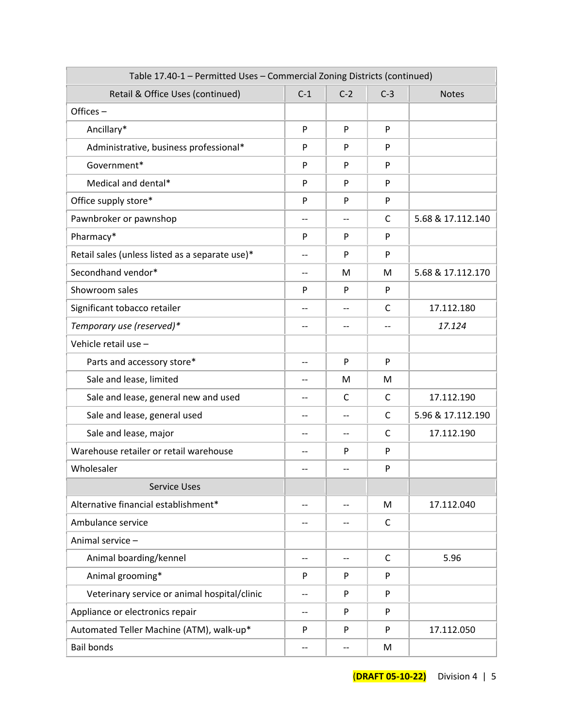| Table 17.40-1 - Permitted Uses - Commercial Zoning Districts (continued) |                          |              |              |                   |
|--------------------------------------------------------------------------|--------------------------|--------------|--------------|-------------------|
| Retail & Office Uses (continued)                                         | $C-1$                    | $C-2$        | $C-3$        | <b>Notes</b>      |
| Offices-                                                                 |                          |              |              |                   |
| Ancillary*                                                               | P                        | P            | P            |                   |
| Administrative, business professional*                                   | P                        | P            | P            |                   |
| Government*                                                              | P                        | P            | P            |                   |
| Medical and dental*                                                      | P                        | P            | P            |                   |
| Office supply store*                                                     | P                        | P            | P            |                   |
| Pawnbroker or pawnshop                                                   | $-$                      | $-$          | C            | 5.68 & 17.112.140 |
| Pharmacy*                                                                | P                        | P            | P            |                   |
| Retail sales (unless listed as a separate use)*                          | $\overline{\phantom{a}}$ | P            | P            |                   |
| Secondhand vendor*                                                       | $-$                      | M            | M            | 5.68 & 17.112.170 |
| Showroom sales                                                           | P                        | P            | P            |                   |
| Significant tobacco retailer                                             |                          |              | C            | 17.112.180        |
| Temporary use (reserved)*                                                | --                       | --           | $-$          | 17.124            |
| Vehicle retail use -                                                     |                          |              |              |                   |
| Parts and accessory store*                                               | --                       | P            | P            |                   |
| Sale and lease, limited                                                  | --                       | M            | M            |                   |
| Sale and lease, general new and used                                     | $\overline{\phantom{a}}$ | $\mathsf{C}$ | C            | 17.112.190        |
| Sale and lease, general used                                             | $-$                      | --           | C            | 5.96 & 17.112.190 |
| Sale and lease, major                                                    | $-$                      | --           | C            | 17.112.190        |
| Warehouse retailer or retail warehouse                                   | $-$                      | P            | P            |                   |
| Wholesaler                                                               | $-$                      | --           | P            |                   |
| <b>Service Uses</b>                                                      |                          |              |              |                   |
| Alternative financial establishment*                                     | $\overline{\phantom{a}}$ | --           | M            | 17.112.040        |
| Ambulance service                                                        | $-$                      | --           | C            |                   |
| Animal service -                                                         |                          |              |              |                   |
| Animal boarding/kennel                                                   | $-$                      | --           | $\mathsf{C}$ | 5.96              |
| Animal grooming*                                                         | P                        | P            | P            |                   |
| Veterinary service or animal hospital/clinic                             | $-$                      | P            | P            |                   |
| Appliance or electronics repair                                          | $\overline{\phantom{a}}$ | P            | P            |                   |
| Automated Teller Machine (ATM), walk-up*                                 | P                        | P            | P            | 17.112.050        |
| <b>Bail bonds</b>                                                        | --                       | $-$          | M            |                   |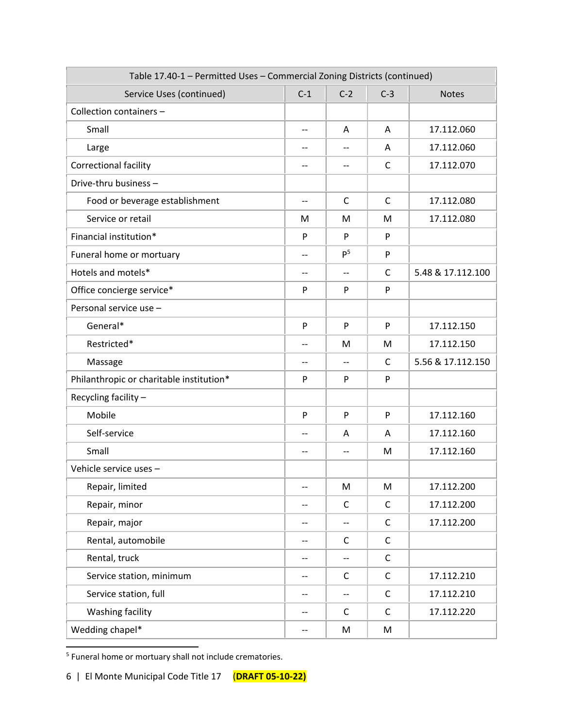| Table 17.40-1 - Permitted Uses - Commercial Zoning Districts (continued) |                          |                   |              |                   |
|--------------------------------------------------------------------------|--------------------------|-------------------|--------------|-------------------|
| Service Uses (continued)                                                 | $C-1$                    | $C-2$             | $C-3$        | <b>Notes</b>      |
| Collection containers -                                                  |                          |                   |              |                   |
| Small                                                                    | $\overline{\phantom{m}}$ | A                 | A            | 17.112.060        |
| Large                                                                    | $\overline{\phantom{m}}$ | --                | A            | 17.112.060        |
| Correctional facility                                                    | $-$                      | --                | $\mathsf{C}$ | 17.112.070        |
| Drive-thru business -                                                    |                          |                   |              |                   |
| Food or beverage establishment                                           | $\overline{\phantom{m}}$ | $\mathsf{C}$      | C            | 17.112.080        |
| Service or retail                                                        | M                        | M                 | M            | 17.112.080        |
| Financial institution*                                                   | P                        | P                 | P            |                   |
| Funeral home or mortuary                                                 | $-$                      | P <sup>5</sup>    | P            |                   |
| Hotels and motels*                                                       | $-$                      | $-$               | C            | 5.48 & 17.112.100 |
| Office concierge service*                                                | P                        | P                 | P            |                   |
| Personal service use -                                                   |                          |                   |              |                   |
| General*                                                                 | P                        | P                 | P            | 17.112.150        |
| Restricted*                                                              | $\qquad \qquad -$        | M                 | M            | 17.112.150        |
| Massage                                                                  | $-$                      | $-$               | C            | 5.56 & 17.112.150 |
| Philanthropic or charitable institution*                                 | P                        | P                 | P            |                   |
| Recycling facility -                                                     |                          |                   |              |                   |
| Mobile                                                                   | P                        | ${\sf P}$         | P            | 17.112.160        |
| Self-service                                                             | --                       | A                 | A            | 17.112.160        |
| Small                                                                    | $-$                      | $-$               | M            | 17.112.160        |
| Vehicle service uses -                                                   |                          |                   |              |                   |
| Repair, limited                                                          | --                       | M                 | M            | 17.112.200        |
| Repair, minor                                                            | --                       | $\mathsf{C}$      | C            | 17.112.200        |
| Repair, major                                                            | --                       | $-$               | $\mathsf C$  | 17.112.200        |
| Rental, automobile                                                       | $-$                      | $\mathsf C$       | $\mathsf C$  |                   |
| Rental, truck                                                            | $\qquad \qquad -$        | $\qquad \qquad -$ | $\mathsf C$  |                   |
| Service station, minimum                                                 | $\qquad \qquad -$        | C                 | $\mathsf C$  | 17.112.210        |
| Service station, full                                                    | $-\!$ $\!-$              | $-$               | $\mathsf C$  | 17.112.210        |
| Washing facility                                                         | $-$                      | C                 | $\mathsf C$  | 17.112.220        |
| Wedding chapel*                                                          | $\overline{\phantom{a}}$ | M                 | M            |                   |

<sup>5</sup> Funeral home or mortuary shall not include crematories.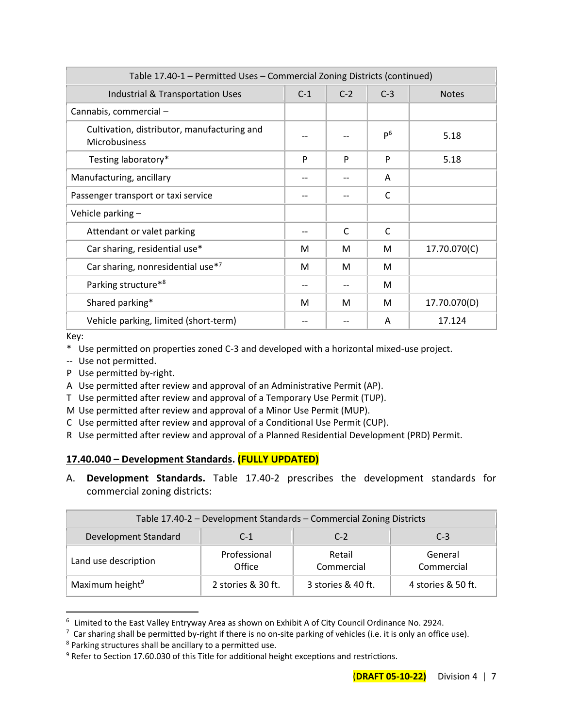| Table 17.40-1 - Permitted Uses - Commercial Zoning Districts (continued) |       |       |                |              |
|--------------------------------------------------------------------------|-------|-------|----------------|--------------|
| Industrial & Transportation Uses                                         | $C-1$ | $C-2$ | $C-3$          | <b>Notes</b> |
| Cannabis, commercial -                                                   |       |       |                |              |
| Cultivation, distributor, manufacturing and<br>Microbusiness             |       |       | P <sup>6</sup> | 5.18         |
| Testing laboratory*                                                      | P     | P     | P              | 5.18         |
| Manufacturing, ancillary                                                 |       |       | A              |              |
| Passenger transport or taxi service                                      |       |       | C              |              |
| Vehicle parking -                                                        |       |       |                |              |
| Attendant or valet parking                                               |       | C     | $\mathsf{C}$   |              |
| Car sharing, residential use*                                            | М     | М     | M              | 17.70.070(C) |
| Car sharing, nonresidential use*7                                        | M     | M     | M              |              |
| Parking structure*8                                                      |       |       | M              |              |
| Shared parking*                                                          | M     | м     | M              | 17.70.070(D) |
| Vehicle parking, limited (short-term)                                    |       |       | A              | 17.124       |

Key:

- \* Use permitted on properties zoned C-3 and developed with a horizontal mixed-use project.
- -- Use not permitted.
- P Use permitted by-right.
- A Use permitted after review and approval of an Administrative Permit (AP).
- T Use permitted after review and approval of a Temporary Use Permit (TUP).
- M Use permitted after review and approval of a Minor Use Permit (MUP).
- C Use permitted after review and approval of a Conditional Use Permit (CUP).
- R Use permitted after review and approval of a Planned Residential Development (PRD) Permit.

#### **17.40.040 – Development Standards. (FULLY UPDATED)**

A. **Development Standards.** Table 17.40-2 prescribes the development standards for commercial zoning districts:

| Table 17.40-2 - Development Standards - Commercial Zoning Districts |                        |                      |                       |  |  |  |
|---------------------------------------------------------------------|------------------------|----------------------|-----------------------|--|--|--|
| Development Standard                                                | $C-1$                  | $C-2$                | $C-3$                 |  |  |  |
| Land use description                                                | Professional<br>Office | Retail<br>Commercial | General<br>Commercial |  |  |  |
| Maximum height <sup>9</sup>                                         | 2 stories & 30 ft.     | 3 stories & 40 ft.   | 4 stories & 50 ft.    |  |  |  |

<sup>6</sup> Limited to the East Valley Entryway Area as shown on Exhibit A of City Council Ordinance No. 2924.

 $^7$  Car sharing shall be permitted by-right if there is no on-site parking of vehicles (i.e. it is only an office use).

<sup>8</sup> Parking structures shall be ancillary to a permitted use.

<sup>&</sup>lt;sup>9</sup> Refer to Section 17.60.030 of this Title for additional height exceptions and restrictions.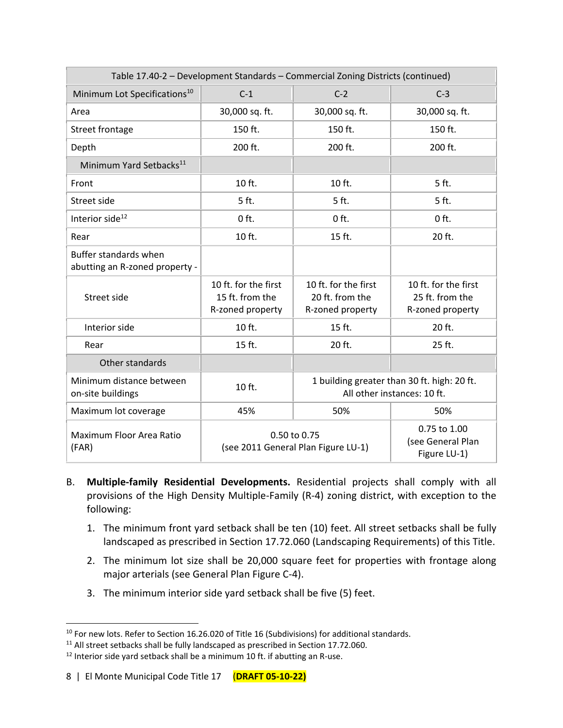| Table 17.40-2 - Development Standards - Commercial Zoning Districts (continued) |                                                             |                                                                            |                                                             |  |
|---------------------------------------------------------------------------------|-------------------------------------------------------------|----------------------------------------------------------------------------|-------------------------------------------------------------|--|
| Minimum Lot Specifications <sup>10</sup>                                        | $C-1$                                                       | $C-2$                                                                      | $C-3$                                                       |  |
| Area                                                                            | 30,000 sq. ft.                                              | 30,000 sq. ft.                                                             | 30,000 sq. ft.                                              |  |
| <b>Street frontage</b>                                                          | 150 ft.                                                     | 150 ft.                                                                    | 150 ft.                                                     |  |
| Depth                                                                           | 200 ft.                                                     | 200 ft.                                                                    | 200 ft.                                                     |  |
| Minimum Yard Setbacks <sup>11</sup>                                             |                                                             |                                                                            |                                                             |  |
| Front                                                                           | 10 ft.                                                      | 10 ft.                                                                     | 5 ft.                                                       |  |
| Street side                                                                     | 5 ft.                                                       | 5 ft.                                                                      | 5 ft.                                                       |  |
| Interior side <sup>12</sup>                                                     | $0$ ft.                                                     | $0$ ft.                                                                    | $0$ ft.                                                     |  |
| Rear                                                                            | 10 ft.                                                      | 15 ft.                                                                     | 20 ft.                                                      |  |
| Buffer standards when<br>abutting an R-zoned property -                         |                                                             |                                                                            |                                                             |  |
| Street side                                                                     | 10 ft. for the first<br>15 ft. from the<br>R-zoned property | 10 ft. for the first<br>20 ft. from the<br>R-zoned property                | 10 ft. for the first<br>25 ft. from the<br>R-zoned property |  |
| Interior side                                                                   | 10 ft.                                                      | 15 ft.                                                                     | 20 ft.                                                      |  |
| Rear                                                                            | 15 ft.                                                      | 20 ft.                                                                     | 25 ft.                                                      |  |
| Other standards                                                                 |                                                             |                                                                            |                                                             |  |
| Minimum distance between<br>on-site buildings                                   | 10 ft.                                                      | 1 building greater than 30 ft. high: 20 ft.<br>All other instances: 10 ft. |                                                             |  |
| Maximum lot coverage                                                            | 45%                                                         | 50%                                                                        | 50%                                                         |  |
| Maximum Floor Area Ratio<br>(FAR)                                               | 0.50 to 0.75<br>(see 2011 General Plan Figure LU-1)         | 0.75 to 1.00<br>(see General Plan<br>Figure LU-1)                          |                                                             |  |

- B. **Multiple-family Residential Developments.** Residential projects shall comply with all provisions of the High Density Multiple-Family (R-4) zoning district, with exception to the following:
	- 1. The minimum front yard setback shall be ten (10) feet. All street setbacks shall be fully landscaped as prescribed in Section 17.72.060 (Landscaping Requirements) of this Title.
	- 2. The minimum lot size shall be 20,000 square feet for properties with frontage along major arterials (see General Plan Figure C-4).
	- 3. The minimum interior side yard setback shall be five (5) feet.

<sup>&</sup>lt;sup>10</sup> For new lots. Refer to Section 16.26.020 of Title 16 (Subdivisions) for additional standards.

 $11$  All street setbacks shall be fully landscaped as prescribed in Section 17.72.060.

<sup>&</sup>lt;sup>12</sup> Interior side yard setback shall be a minimum 10 ft. if abutting an R-use.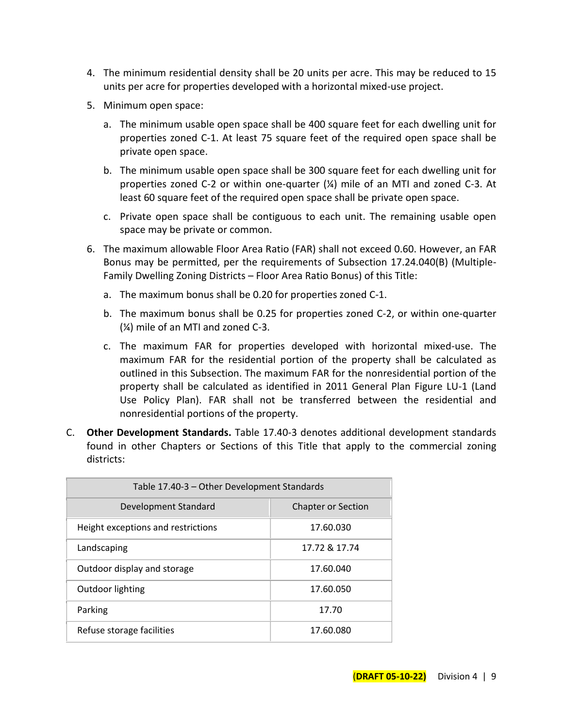- 4. The minimum residential density shall be 20 units per acre. This may be reduced to 15 units per acre for properties developed with a horizontal mixed-use project.
- 5. Minimum open space:
	- a. The minimum usable open space shall be 400 square feet for each dwelling unit for properties zoned C-1. At least 75 square feet of the required open space shall be private open space.
	- b. The minimum usable open space shall be 300 square feet for each dwelling unit for properties zoned C-2 or within one-quarter (¼) mile of an MTI and zoned C-3. At least 60 square feet of the required open space shall be private open space.
	- c. Private open space shall be contiguous to each unit. The remaining usable open space may be private or common.
- 6. The maximum allowable Floor Area Ratio (FAR) shall not exceed 0.60. However, an FAR Bonus may be permitted, per the requirements of Subsection 17.24.040(B) (Multiple-Family Dwelling Zoning Districts – Floor Area Ratio Bonus) of this Title:
	- a. The maximum bonus shall be 0.20 for properties zoned C-1.
	- b. The maximum bonus shall be 0.25 for properties zoned C-2, or within one-quarter (¼) mile of an MTI and zoned C-3.
	- c. The maximum FAR for properties developed with horizontal mixed-use. The maximum FAR for the residential portion of the property shall be calculated as outlined in this Subsection. The maximum FAR for the nonresidential portion of the property shall be calculated as identified in 2011 General Plan Figure LU-1 (Land Use Policy Plan). FAR shall not be transferred between the residential and nonresidential portions of the property.
- C. **Other Development Standards.** Table 17.40-3 denotes additional development standards found in other Chapters or Sections of this Title that apply to the commercial zoning districts:

| Table 17.40-3 - Other Development Standards |                           |  |  |  |
|---------------------------------------------|---------------------------|--|--|--|
| Development Standard                        | <b>Chapter or Section</b> |  |  |  |
| Height exceptions and restrictions          | 17.60.030                 |  |  |  |
| Landscaping                                 | 17.72 & 17.74             |  |  |  |
| Outdoor display and storage                 | 17.60.040                 |  |  |  |
| Outdoor lighting                            | 17.60.050                 |  |  |  |
| Parking                                     | 17.70                     |  |  |  |
| Refuse storage facilities                   | 17.60.080                 |  |  |  |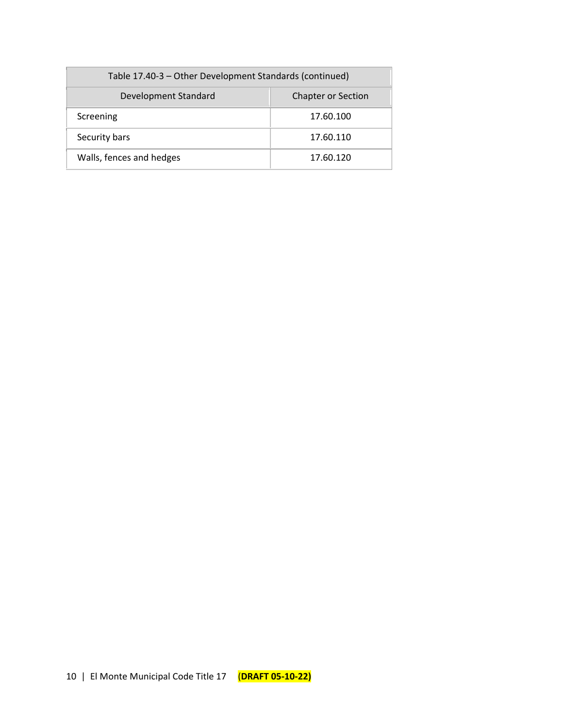| Table 17.40-3 - Other Development Standards (continued) |                           |  |  |  |
|---------------------------------------------------------|---------------------------|--|--|--|
| Development Standard                                    | <b>Chapter or Section</b> |  |  |  |
| Screening                                               | 17.60.100                 |  |  |  |
| Security bars                                           | 17.60.110                 |  |  |  |
| Walls, fences and hedges                                | 17.60.120                 |  |  |  |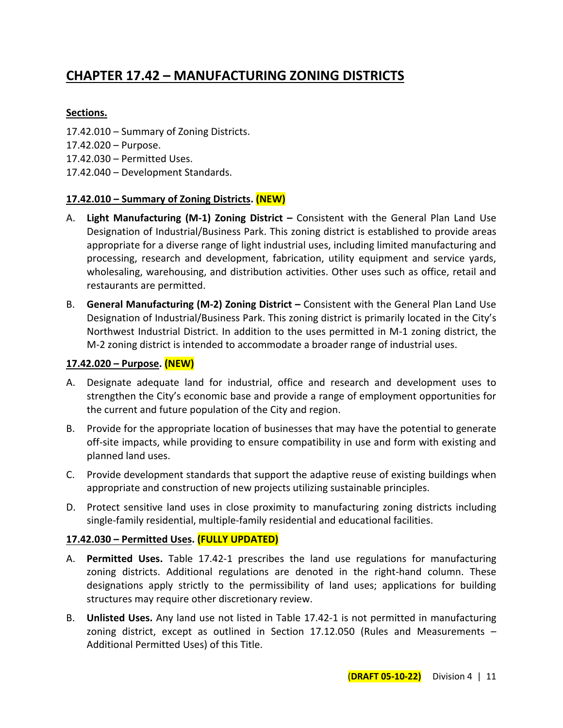# **CHAPTER 17.42 – MANUFACTURING ZONING DISTRICTS**

# **Sections.**

- 17.42.010 Summary of Zoning Districts.
- 17.42.020 Purpose.
- 17.42.030 Permitted Uses.
- 17.42.040 Development Standards.

# **17.42.010 – Summary of Zoning Districts. (NEW)**

- A. **Light Manufacturing (M-1) Zoning District –** Consistent with the General Plan Land Use Designation of Industrial/Business Park. This zoning district is established to provide areas appropriate for a diverse range of light industrial uses, including limited manufacturing and processing, research and development, fabrication, utility equipment and service yards, wholesaling, warehousing, and distribution activities. Other uses such as office, retail and restaurants are permitted.
- B. **General Manufacturing (M-2) Zoning District –** Consistent with the General Plan Land Use Designation of Industrial/Business Park. This zoning district is primarily located in the City's Northwest Industrial District. In addition to the uses permitted in M-1 zoning district, the M-2 zoning district is intended to accommodate a broader range of industrial uses.

#### **17.42.020 – Purpose. (NEW)**

- A. Designate adequate land for industrial, office and research and development uses to strengthen the City's economic base and provide a range of employment opportunities for the current and future population of the City and region.
- B. Provide for the appropriate location of businesses that may have the potential to generate off-site impacts, while providing to ensure compatibility in use and form with existing and planned land uses.
- C. Provide development standards that support the adaptive reuse of existing buildings when appropriate and construction of new projects utilizing sustainable principles.
- D. Protect sensitive land uses in close proximity to manufacturing zoning districts including single-family residential, multiple-family residential and educational facilities.

#### **17.42.030 – Permitted Uses. (FULLY UPDATED)**

- A. **Permitted Uses.** Table 17.42-1 prescribes the land use regulations for manufacturing zoning districts. Additional regulations are denoted in the right-hand column. These designations apply strictly to the permissibility of land uses; applications for building structures may require other discretionary review.
- B. **Unlisted Uses.** Any land use not listed in Table 17.42-1 is not permitted in manufacturing zoning district, except as outlined in Section 17.12.050 (Rules and Measurements – Additional Permitted Uses) of this Title.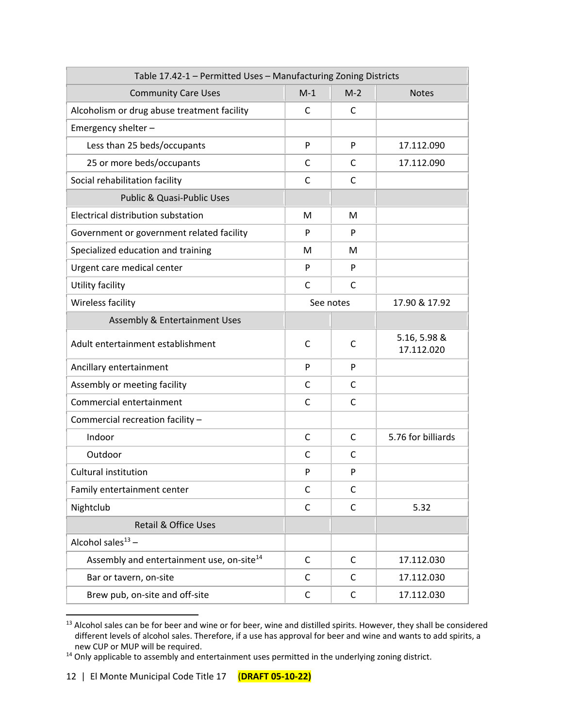| Table 17.42-1 - Permitted Uses - Manufacturing Zoning Districts |              |              |                            |  |
|-----------------------------------------------------------------|--------------|--------------|----------------------------|--|
| <b>Community Care Uses</b>                                      | $M-1$        | $M-2$        | <b>Notes</b>               |  |
| Alcoholism or drug abuse treatment facility                     | C            | $\mathsf{C}$ |                            |  |
| Emergency shelter -                                             |              |              |                            |  |
| Less than 25 beds/occupants                                     | P            | P            | 17.112.090                 |  |
| 25 or more beds/occupants                                       | C            | C            | 17.112.090                 |  |
| Social rehabilitation facility                                  | C            | C            |                            |  |
| Public & Quasi-Public Uses                                      |              |              |                            |  |
| Electrical distribution substation                              | M            | M            |                            |  |
| Government or government related facility                       | P            | P            |                            |  |
| Specialized education and training                              | м            | М            |                            |  |
| Urgent care medical center                                      | P            | P            |                            |  |
| Utility facility                                                | $\mathsf{C}$ | C            |                            |  |
| Wireless facility                                               | See notes    |              | 17.90 & 17.92              |  |
| Assembly & Entertainment Uses                                   |              |              |                            |  |
| Adult entertainment establishment                               | C            | C            | 5.16, 5.98 &<br>17.112.020 |  |
| Ancillary entertainment                                         | P            | P            |                            |  |
| Assembly or meeting facility                                    | C            | C            |                            |  |
| Commercial entertainment                                        | C            | С            |                            |  |
| Commercial recreation facility -                                |              |              |                            |  |
| Indoor                                                          | C            | C            | 5.76 for billiards         |  |
| Outdoor                                                         | C            | C            |                            |  |
| <b>Cultural institution</b>                                     | P            | P            |                            |  |
| Family entertainment center                                     | $\mathsf{C}$ | $\mathsf{C}$ |                            |  |
| Nightclub                                                       | $\mathsf C$  | C            | 5.32                       |  |
| <b>Retail &amp; Office Uses</b>                                 |              |              |                            |  |
| Alcohol sales $13 -$                                            |              |              |                            |  |
| Assembly and entertainment use, on-site <sup>14</sup>           | $\mathsf{C}$ | C            | 17.112.030                 |  |
| Bar or tavern, on-site                                          | C            | C            | 17.112.030                 |  |
| Brew pub, on-site and off-site                                  | C            | C            | 17.112.030                 |  |

<sup>&</sup>lt;sup>13</sup> Alcohol sales can be for beer and wine or for beer, wine and distilled spirits. However, they shall be considered different levels of alcohol sales. Therefore, if a use has approval for beer and wine and wants to add spirits, a new CUP or MUP will be required.

<sup>14</sup> Only applicable to assembly and entertainment uses permitted in the underlying zoning district.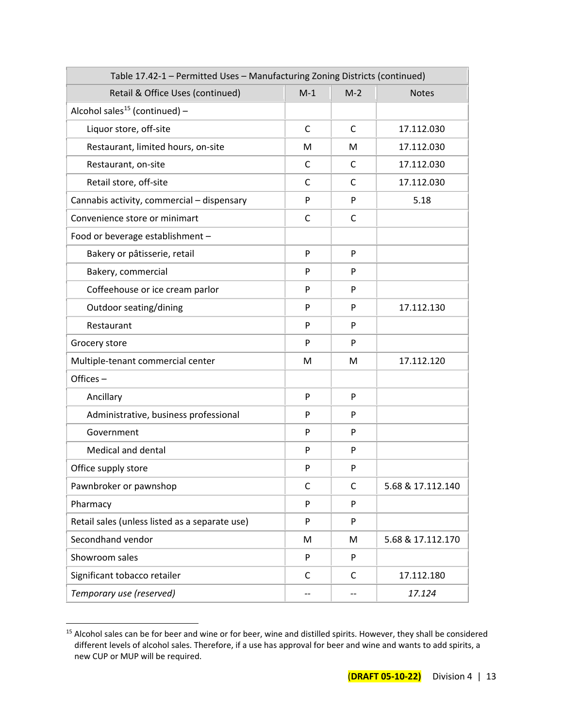| Table 17.42-1 - Permitted Uses - Manufacturing Zoning Districts (continued) |       |       |                   |  |
|-----------------------------------------------------------------------------|-------|-------|-------------------|--|
| Retail & Office Uses (continued)                                            | $M-1$ | $M-2$ | <b>Notes</b>      |  |
| Alcohol sales <sup>15</sup> (continued) -                                   |       |       |                   |  |
| Liquor store, off-site                                                      | C     | C     | 17.112.030        |  |
| Restaurant, limited hours, on-site                                          | M     | M     | 17.112.030        |  |
| Restaurant, on-site                                                         | C     | C     | 17.112.030        |  |
| Retail store, off-site                                                      | C     | C     | 17.112.030        |  |
| Cannabis activity, commercial - dispensary                                  | P     | P     | 5.18              |  |
| Convenience store or minimart                                               | C     | С     |                   |  |
| Food or beverage establishment -                                            |       |       |                   |  |
| Bakery or pâtisserie, retail                                                | P     | P     |                   |  |
| Bakery, commercial                                                          | P     | P     |                   |  |
| Coffeehouse or ice cream parlor                                             | P     | P     |                   |  |
| Outdoor seating/dining                                                      | P     | P     | 17.112.130        |  |
| Restaurant                                                                  | P     | P     |                   |  |
| Grocery store                                                               | P     | P     |                   |  |
| Multiple-tenant commercial center                                           | М     | M     | 17.112.120        |  |
| Offices-                                                                    |       |       |                   |  |
| Ancillary                                                                   | P     | P     |                   |  |
| Administrative, business professional                                       | P     | P     |                   |  |
| Government                                                                  | P     | P     |                   |  |
| Medical and dental                                                          | P     | P     |                   |  |
| Office supply store                                                         | P     | P     |                   |  |
| Pawnbroker or pawnshop                                                      | C     | С     | 5.68 & 17.112.140 |  |
| Pharmacy                                                                    | P     | P     |                   |  |
| Retail sales (unless listed as a separate use)                              | P     | P     |                   |  |
| Secondhand vendor                                                           | M     | M     | 5.68 & 17.112.170 |  |
| Showroom sales                                                              | P     | P     |                   |  |
| Significant tobacco retailer                                                | C     | C     | 17.112.180        |  |
| Temporary use (reserved)                                                    | --    | --    | 17.124            |  |

<sup>&</sup>lt;sup>15</sup> Alcohol sales can be for beer and wine or for beer, wine and distilled spirits. However, they shall be considered different levels of alcohol sales. Therefore, if a use has approval for beer and wine and wants to add spirits, a new CUP or MUP will be required.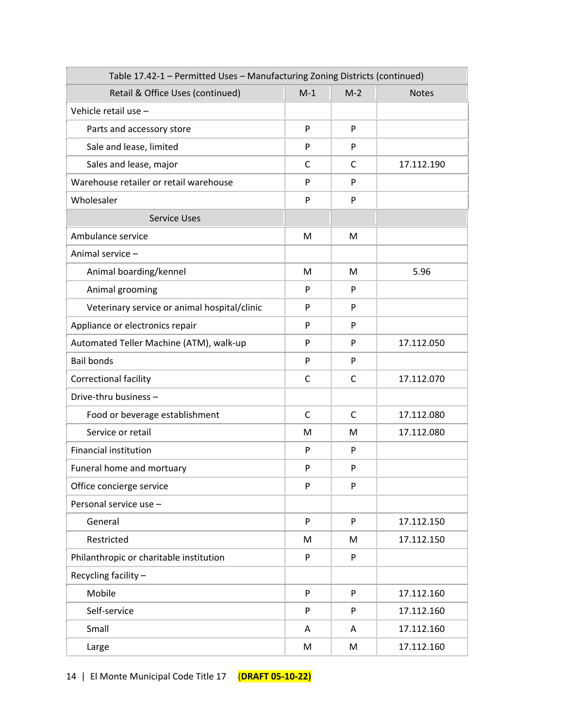| Table 17.42-1 - Permitted Uses - Manufacturing Zoning Districts (continued) |       |       |              |  |
|-----------------------------------------------------------------------------|-------|-------|--------------|--|
| Retail & Office Uses (continued)                                            | $M-1$ | $M-2$ | <b>Notes</b> |  |
| Vehicle retail use -                                                        |       |       |              |  |
| Parts and accessory store                                                   | P     | P     |              |  |
| Sale and lease, limited                                                     | P     | P     |              |  |
| Sales and lease, major                                                      | C     | C     | 17.112.190   |  |
| Warehouse retailer or retail warehouse                                      | P     | P     |              |  |
| Wholesaler                                                                  | P     | P     |              |  |
| <b>Service Uses</b>                                                         |       |       |              |  |
| Ambulance service                                                           | M     | M     |              |  |
| Animal service -                                                            |       |       |              |  |
| Animal boarding/kennel                                                      | М     | M     | 5.96         |  |
| Animal grooming                                                             | P     | P     |              |  |
| Veterinary service or animal hospital/clinic                                | P     | P     |              |  |
| Appliance or electronics repair                                             | P     | P     |              |  |
| Automated Teller Machine (ATM), walk-up                                     | P     | P     | 17.112.050   |  |
| <b>Bail bonds</b>                                                           | P     | P     |              |  |
| <b>Correctional facility</b>                                                | C     | C     | 17.112.070   |  |
| Drive-thru business -                                                       |       |       |              |  |
| Food or beverage establishment                                              | C     | C     | 17.112.080   |  |
| Service or retail                                                           | М     | М     | 17.112.080   |  |
| <b>Financial institution</b>                                                | P     | P     |              |  |
| Funeral home and mortuary                                                   | P     | P     |              |  |
| Office concierge service                                                    | P     | P     |              |  |
| Personal service use -                                                      |       |       |              |  |
| General                                                                     | P     | P     | 17.112.150   |  |
| Restricted                                                                  | M     | M     | 17.112.150   |  |
| Philanthropic or charitable institution                                     | P     | P     |              |  |
| Recycling facility -                                                        |       |       |              |  |
| Mobile                                                                      | P     | P     | 17.112.160   |  |
| Self-service                                                                | P     | P     | 17.112.160   |  |
| Small                                                                       | A     | A     | 17.112.160   |  |
| Large                                                                       | M     | M     | 17.112.160   |  |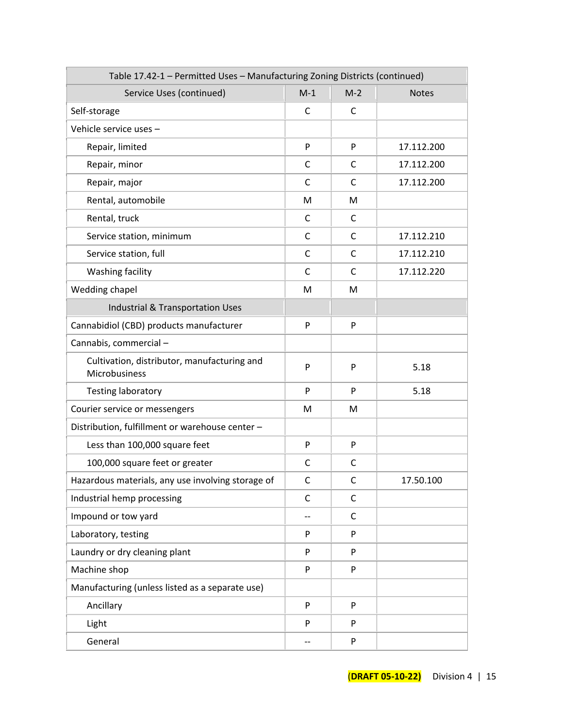| Table 17.42-1 - Permitted Uses - Manufacturing Zoning Districts (continued) |              |              |              |
|-----------------------------------------------------------------------------|--------------|--------------|--------------|
| Service Uses (continued)                                                    | $M-1$        | $M-2$        | <b>Notes</b> |
| Self-storage                                                                | C            | C            |              |
| Vehicle service uses -                                                      |              |              |              |
| Repair, limited                                                             | P            | P            | 17.112.200   |
| Repair, minor                                                               | С            | C            | 17.112.200   |
| Repair, major                                                               | C            | C            | 17.112.200   |
| Rental, automobile                                                          | M            | M            |              |
| Rental, truck                                                               | C            | C            |              |
| Service station, minimum                                                    | C            | C            | 17.112.210   |
| Service station, full                                                       | $\mathsf{C}$ | $\mathsf{C}$ | 17.112.210   |
| Washing facility                                                            | C            | C            | 17.112.220   |
| Wedding chapel                                                              | M            | M            |              |
| <b>Industrial &amp; Transportation Uses</b>                                 |              |              |              |
| Cannabidiol (CBD) products manufacturer                                     | P            | P            |              |
| Cannabis, commercial-                                                       |              |              |              |
| Cultivation, distributor, manufacturing and<br>Microbusiness                | P            | P            | 5.18         |
| <b>Testing laboratory</b>                                                   | P            | P            | 5.18         |
| Courier service or messengers                                               | М            | M            |              |
| Distribution, fulfillment or warehouse center -                             |              |              |              |
| Less than 100,000 square feet                                               | P            | P            |              |
| 100,000 square feet or greater                                              | С            | C            |              |
| Hazardous materials, any use involving storage of                           | $\mathsf{C}$ | $\mathsf{C}$ | 17.50.100    |
| Industrial hemp processing                                                  | C            | C            |              |
| Impound or tow yard                                                         | --           | C            |              |
| Laboratory, testing                                                         | P            | P            |              |
| Laundry or dry cleaning plant                                               | P            | P            |              |
| Machine shop                                                                | P            | P            |              |
| Manufacturing (unless listed as a separate use)                             |              |              |              |
| Ancillary                                                                   | P            | P            |              |
| Light                                                                       | P            | P            |              |
| General                                                                     |              | P            |              |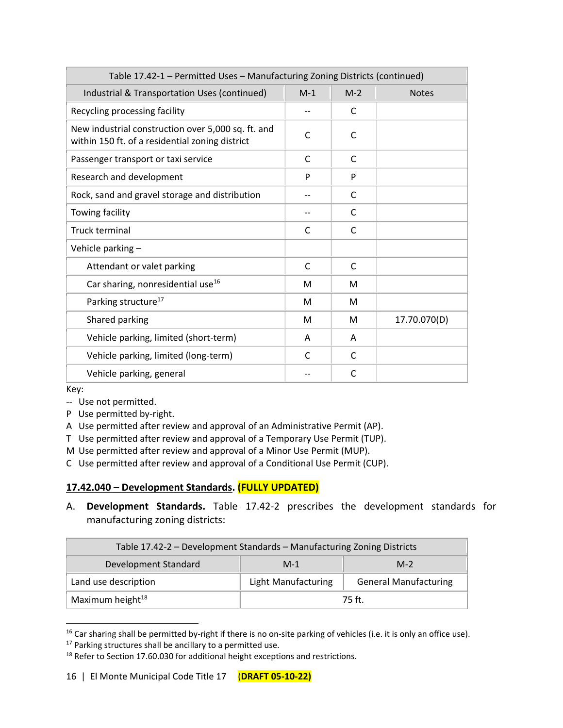| Table 17.42-1 - Permitted Uses - Manufacturing Zoning Districts (continued)                           |       |       |              |  |
|-------------------------------------------------------------------------------------------------------|-------|-------|--------------|--|
| Industrial & Transportation Uses (continued)                                                          | $M-1$ | $M-2$ | <b>Notes</b> |  |
| Recycling processing facility                                                                         |       | C     |              |  |
| New industrial construction over 5,000 sq. ft. and<br>within 150 ft. of a residential zoning district | C     | C     |              |  |
| Passenger transport or taxi service                                                                   | C     | C     |              |  |
| Research and development                                                                              | P     | P     |              |  |
| Rock, sand and gravel storage and distribution                                                        |       | C     |              |  |
| Towing facility                                                                                       |       | C     |              |  |
| Truck terminal                                                                                        | C     | C     |              |  |
| Vehicle parking -                                                                                     |       |       |              |  |
| Attendant or valet parking                                                                            | C     | C     |              |  |
| Car sharing, nonresidential use <sup>16</sup>                                                         | м     | м     |              |  |
| Parking structure <sup>17</sup>                                                                       | м     | м     |              |  |
| Shared parking                                                                                        | м     | м     | 17.70.070(D) |  |
| Vehicle parking, limited (short-term)                                                                 | A     | A     |              |  |
| Vehicle parking, limited (long-term)                                                                  | C     | C     |              |  |
| Vehicle parking, general                                                                              |       | C     |              |  |

Key:

- -- Use not permitted.
- P Use permitted by-right.
- A Use permitted after review and approval of an Administrative Permit (AP).
- T Use permitted after review and approval of a Temporary Use Permit (TUP).
- M Use permitted after review and approval of a Minor Use Permit (MUP).
- C Use permitted after review and approval of a Conditional Use Permit (CUP).

# **17.42.040 – Development Standards. (FULLY UPDATED)**

A. **Development Standards.** Table 17.42-2 prescribes the development standards for manufacturing zoning districts:

| Table 17.42-2 - Development Standards - Manufacturing Zoning Districts |                                                            |  |  |  |
|------------------------------------------------------------------------|------------------------------------------------------------|--|--|--|
| Development Standard                                                   | $M-2$<br>$M-1$                                             |  |  |  |
| Land use description                                                   | <b>General Manufacturing</b><br><b>Light Manufacturing</b> |  |  |  |
| Maximum height <sup>18</sup>                                           | 75 ft.                                                     |  |  |  |

<sup>&</sup>lt;sup>16</sup> Car sharing shall be permitted by-right if there is no on-site parking of vehicles (i.e. it is only an office use). <sup>17</sup> Parking structures shall be ancillary to a permitted use.

<sup>&</sup>lt;sup>18</sup> Refer to Section 17.60.030 for additional height exceptions and restrictions.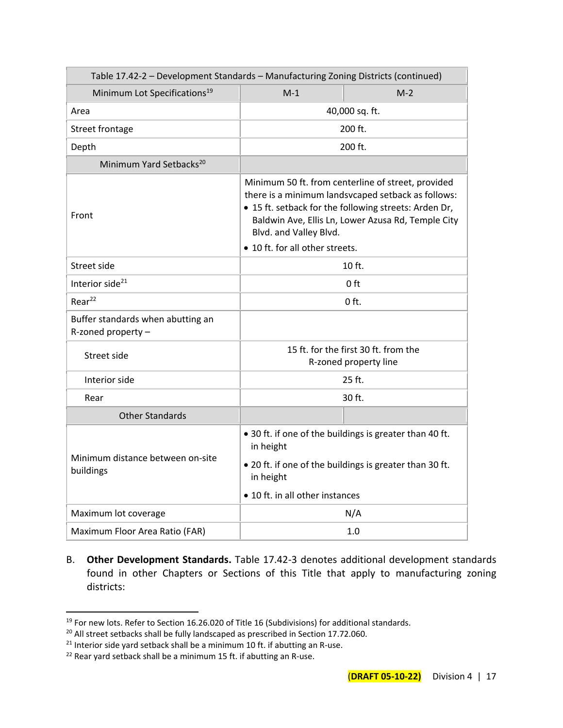| Table 17.42-2 - Development Standards - Manufacturing Zoning Districts (continued) |                                                                      |                                                                                                                                                                                                                         |  |  |  |  |
|------------------------------------------------------------------------------------|----------------------------------------------------------------------|-------------------------------------------------------------------------------------------------------------------------------------------------------------------------------------------------------------------------|--|--|--|--|
| Minimum Lot Specifications <sup>19</sup>                                           | $M-1$<br>$M-2$                                                       |                                                                                                                                                                                                                         |  |  |  |  |
| Area                                                                               | 40,000 sq. ft.                                                       |                                                                                                                                                                                                                         |  |  |  |  |
| Street frontage                                                                    |                                                                      | 200 ft.                                                                                                                                                                                                                 |  |  |  |  |
| Depth                                                                              | 200 ft.                                                              |                                                                                                                                                                                                                         |  |  |  |  |
| Minimum Yard Setbacks <sup>20</sup>                                                |                                                                      |                                                                                                                                                                                                                         |  |  |  |  |
| Front                                                                              | Blvd. and Valley Blvd.                                               | Minimum 50 ft. from centerline of street, provided<br>there is a minimum landsvcaped setback as follows:<br>• 15 ft. setback for the following streets: Arden Dr,<br>Baldwin Ave, Ellis Ln, Lower Azusa Rd, Temple City |  |  |  |  |
|                                                                                    | • 10 ft. for all other streets.                                      |                                                                                                                                                                                                                         |  |  |  |  |
| Street side                                                                        | $10$ ft.                                                             |                                                                                                                                                                                                                         |  |  |  |  |
| Interior side <sup>21</sup>                                                        | 0 ft                                                                 |                                                                                                                                                                                                                         |  |  |  |  |
| Rear <sup>22</sup>                                                                 | $0$ ft.                                                              |                                                                                                                                                                                                                         |  |  |  |  |
| Buffer standards when abutting an<br>R-zoned property -                            |                                                                      |                                                                                                                                                                                                                         |  |  |  |  |
| Street side                                                                        |                                                                      | 15 ft. for the first 30 ft. from the<br>R-zoned property line                                                                                                                                                           |  |  |  |  |
| Interior side                                                                      |                                                                      | 25 ft.                                                                                                                                                                                                                  |  |  |  |  |
| Rear                                                                               | 30 ft.                                                               |                                                                                                                                                                                                                         |  |  |  |  |
| <b>Other Standards</b>                                                             |                                                                      |                                                                                                                                                                                                                         |  |  |  |  |
|                                                                                    | • 30 ft. if one of the buildings is greater than 40 ft.<br>in height |                                                                                                                                                                                                                         |  |  |  |  |
| Minimum distance between on-site<br>buildings                                      | • 20 ft. if one of the buildings is greater than 30 ft.<br>in height |                                                                                                                                                                                                                         |  |  |  |  |
|                                                                                    | • 10 ft. in all other instances                                      |                                                                                                                                                                                                                         |  |  |  |  |
| Maximum lot coverage                                                               |                                                                      | N/A                                                                                                                                                                                                                     |  |  |  |  |
| Maximum Floor Area Ratio (FAR)                                                     |                                                                      | 1.0                                                                                                                                                                                                                     |  |  |  |  |

B. **Other Development Standards.** Table 17.42-3 denotes additional development standards found in other Chapters or Sections of this Title that apply to manufacturing zoning districts:

<sup>&</sup>lt;sup>19</sup> For new lots. Refer to Section 16.26.020 of Title 16 (Subdivisions) for additional standards.

<sup>&</sup>lt;sup>20</sup> All street setbacks shall be fully landscaped as prescribed in Section 17.72.060.

 $21$  Interior side yard setback shall be a minimum 10 ft. if abutting an R-use.

<sup>&</sup>lt;sup>22</sup> Rear yard setback shall be a minimum 15 ft. if abutting an R-use.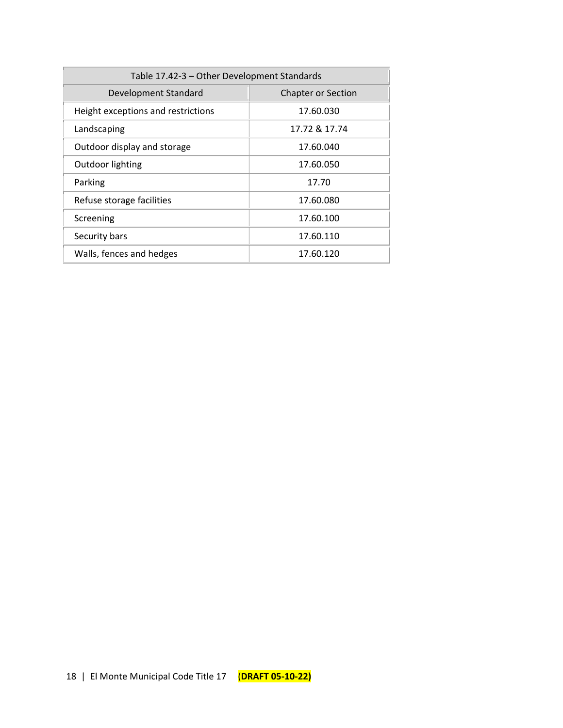| Table 17.42-3 - Other Development Standards       |               |  |  |  |
|---------------------------------------------------|---------------|--|--|--|
| Development Standard<br><b>Chapter or Section</b> |               |  |  |  |
| Height exceptions and restrictions                | 17.60.030     |  |  |  |
| Landscaping                                       | 17.72 & 17.74 |  |  |  |
| Outdoor display and storage                       | 17.60.040     |  |  |  |
| Outdoor lighting                                  | 17.60.050     |  |  |  |
| Parking                                           | 17.70         |  |  |  |
| Refuse storage facilities                         | 17.60.080     |  |  |  |
| Screening                                         | 17.60.100     |  |  |  |
| Security bars                                     | 17.60.110     |  |  |  |
| Walls, fences and hedges                          | 17.60.120     |  |  |  |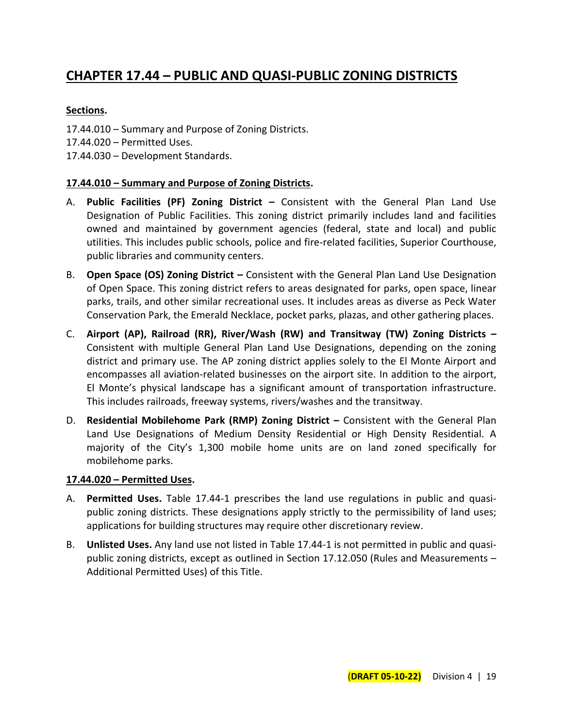# **CHAPTER 17.44 – PUBLIC AND QUASI-PUBLIC ZONING DISTRICTS**

# **Sections.**

- 17.44.010 Summary and Purpose of Zoning Districts.
- 17.44.020 Permitted Uses.
- 17.44.030 Development Standards.

#### **17.44.010 – Summary and Purpose of Zoning Districts.**

- A. **Public Facilities (PF) Zoning District –** Consistent with the General Plan Land Use Designation of Public Facilities. This zoning district primarily includes land and facilities owned and maintained by government agencies (federal, state and local) and public utilities. This includes public schools, police and fire-related facilities, Superior Courthouse, public libraries and community centers.
- B. **Open Space (OS) Zoning District –** Consistent with the General Plan Land Use Designation of Open Space. This zoning district refers to areas designated for parks, open space, linear parks, trails, and other similar recreational uses. It includes areas as diverse as Peck Water Conservation Park, the Emerald Necklace, pocket parks, plazas, and other gathering places.
- C. **Airport (AP), Railroad (RR), River/Wash (RW) and Transitway (TW) Zoning Districts –** Consistent with multiple General Plan Land Use Designations, depending on the zoning district and primary use. The AP zoning district applies solely to the El Monte Airport and encompasses all aviation-related businesses on the airport site. In addition to the airport, El Monte's physical landscape has a significant amount of transportation infrastructure. This includes railroads, freeway systems, rivers/washes and the transitway.
- D. **Residential Mobilehome Park (RMP) Zoning District –** Consistent with the General Plan Land Use Designations of Medium Density Residential or High Density Residential. A majority of the City's 1,300 mobile home units are on land zoned specifically for mobilehome parks.

#### **17.44.020 – Permitted Uses.**

- A. **Permitted Uses.** Table 17.44-1 prescribes the land use regulations in public and quasipublic zoning districts. These designations apply strictly to the permissibility of land uses; applications for building structures may require other discretionary review.
- B. **Unlisted Uses.** Any land use not listed in Table 17.44-1 is not permitted in public and quasipublic zoning districts, except as outlined in Section 17.12.050 (Rules and Measurements – Additional Permitted Uses) of this Title.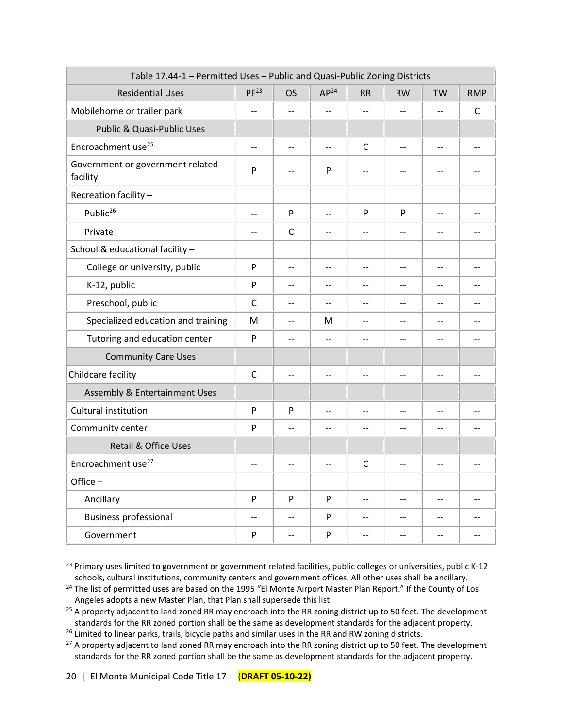| Table 17.44-1 - Permitted Uses - Public and Quasi-Public Zoning Districts |                          |                          |                          |                          |                          |           |                          |
|---------------------------------------------------------------------------|--------------------------|--------------------------|--------------------------|--------------------------|--------------------------|-----------|--------------------------|
| <b>Residential Uses</b>                                                   | PF <sup>23</sup>         | <b>OS</b>                | AP <sup>24</sup>         | RR                       | <b>RW</b>                | <b>TW</b> | <b>RMP</b>               |
| Mobilehome or trailer park                                                | $\overline{\phantom{a}}$ | $\overline{\phantom{a}}$ | $\overline{\phantom{a}}$ |                          | $-$                      |           | C                        |
| Public & Quasi-Public Uses                                                |                          |                          |                          |                          |                          |           |                          |
| Encroachment use <sup>25</sup>                                            | $-$                      | $-$                      | $-$                      | C                        | $\overline{\phantom{a}}$ | $-$       | $-$                      |
| Government or government related<br>facility                              | P                        | $-$                      | P                        |                          | $-$                      |           |                          |
| Recreation facility -                                                     |                          |                          |                          |                          |                          |           |                          |
| Public <sup>26</sup>                                                      | $-$                      | P                        | $\overline{\phantom{a}}$ | P                        | P                        | $-1$      | $-$                      |
| Private                                                                   | $\overline{a}$           | $\mathsf{C}$             | $\overline{a}$           |                          | $-$                      |           | $-$                      |
| School & educational facility -                                           |                          |                          |                          |                          |                          |           |                          |
| College or university, public                                             | $\mathsf{P}$             | $\overline{\phantom{m}}$ | $- -$                    | $-$                      | $-$                      | --        | $-$                      |
| K-12, public                                                              | P                        | $-$                      |                          |                          | $-$                      | $-$       |                          |
| Preschool, public                                                         | C                        | $-$                      | $-$                      | $-$                      | $-$                      | $-$       | $-$                      |
| Specialized education and training                                        | M                        | $-$                      | M                        | $-$                      | $-$                      | $-$       | $-$                      |
| Tutoring and education center                                             | P                        | $-$                      | $\overline{a}$           | $-$                      | $-$                      | $-$       | $-$                      |
| <b>Community Care Uses</b>                                                |                          |                          |                          |                          |                          |           |                          |
| Childcare facility                                                        | $\mathsf{C}$             | $-$                      | $\overline{a}$           |                          | $\overline{a}$           |           | $\overline{a}$           |
| <b>Assembly &amp; Entertainment Uses</b>                                  |                          |                          |                          |                          |                          |           |                          |
| Cultural institution                                                      | P                        | P                        | $\overline{a}$           | $\overline{\phantom{a}}$ | $-$                      | $-1$      | $-$                      |
| Community center                                                          | P                        | $\overline{a}$           | $\overline{\phantom{a}}$ | $\overline{a}$           |                          |           | $-$                      |
| Retail & Office Uses                                                      |                          |                          |                          |                          |                          |           |                          |
| Encroachment use <sup>27</sup>                                            | $-$                      | $-$                      | $-$                      | $\mathsf{C}$             | $-$                      | $-$       | $\overline{\phantom{a}}$ |
| Office-                                                                   |                          |                          |                          |                          |                          |           |                          |
| Ancillary                                                                 | P                        | P                        | P                        | $-$                      | $-$                      |           | $-$                      |
| <b>Business professional</b>                                              | $-$                      | $-$                      | P                        |                          | $-$                      |           |                          |
| Government                                                                | P                        | $-$                      | P                        | $-$                      | $-$                      | $-$       | $-$                      |

<sup>&</sup>lt;sup>23</sup> Primary uses limited to government or government related facilities, public colleges or universities, public K-12 schools, cultural institutions, community centers and government offices. All other uses shall be ancillary.

<sup>&</sup>lt;sup>24</sup> The list of permitted uses are based on the 1995 "El Monte Airport Master Plan Report." If the County of Los Angeles adopts a new Master Plan, that Plan shall supersede this list.

<sup>&</sup>lt;sup>25</sup> A property adjacent to land zoned RR may encroach into the RR zoning district up to 50 feet. The development standards for the RR zoned portion shall be the same as development standards for the adjacent property.

<sup>&</sup>lt;sup>26</sup> Limited to linear parks, trails, bicycle paths and similar uses in the RR and RW zoning districts.

<sup>&</sup>lt;sup>27</sup> A property adjacent to land zoned RR may encroach into the RR zoning district up to 50 feet. The development standards for the RR zoned portion shall be the same as development standards for the adjacent property.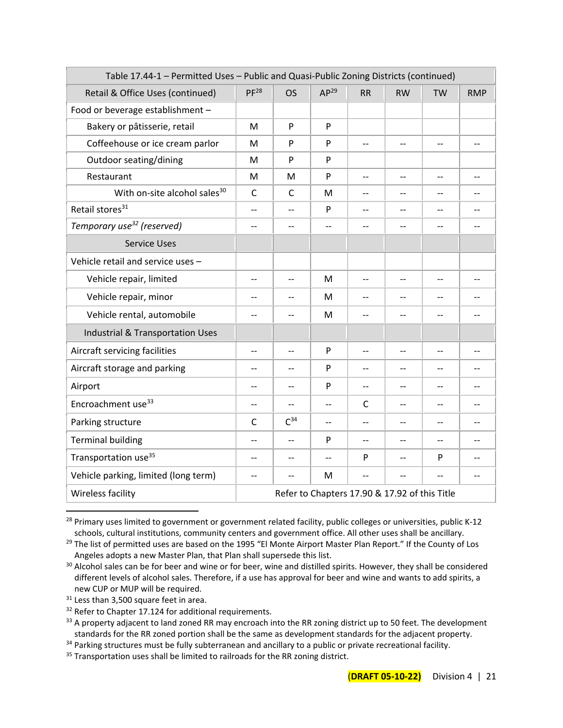| Table 17.44-1 - Permitted Uses - Public and Quasi-Public Zoning Districts (continued) |                                               |                |                          |              |           |           |                          |
|---------------------------------------------------------------------------------------|-----------------------------------------------|----------------|--------------------------|--------------|-----------|-----------|--------------------------|
| Retail & Office Uses (continued)                                                      | PF <sup>28</sup>                              | <b>OS</b>      | AP <sup>29</sup>         | <b>RR</b>    | <b>RW</b> | <b>TW</b> | <b>RMP</b>               |
| Food or beverage establishment -                                                      |                                               |                |                          |              |           |           |                          |
| Bakery or pâtisserie, retail                                                          | м                                             | P              | P                        |              |           |           |                          |
| Coffeehouse or ice cream parlor                                                       | м                                             | P              | P                        | $-$          | $-$       | $-$       | $-$                      |
| Outdoor seating/dining                                                                | M                                             | P              | P                        |              |           |           |                          |
| Restaurant                                                                            | М                                             | M              | P                        |              |           |           |                          |
| With on-site alcohol sales <sup>30</sup>                                              | $\mathsf{C}$                                  | $\mathsf{C}$   | M                        | $-$          | --        | $-$       | $-$                      |
| Retail stores <sup>31</sup>                                                           | $-$                                           | $-$            | P                        | --           | --        | --        | --                       |
| Temporary use <sup>32</sup> (reserved)                                                | $-$                                           | $-$            | $\overline{\phantom{a}}$ |              | $-$       | $-$       | $-$                      |
| <b>Service Uses</b>                                                                   |                                               |                |                          |              |           |           |                          |
| Vehicle retail and service uses -                                                     |                                               |                |                          |              |           |           |                          |
| Vehicle repair, limited                                                               | $-$                                           | $-$            | M                        | $-$          | $-$       | $-$       | $-$                      |
| Vehicle repair, minor                                                                 | $-$                                           | $-$            | M                        | $-$          | $-$       | $-$       | $-$                      |
| Vehicle rental, automobile                                                            | $-$                                           | $-$            | M                        | $-$          | $-$       | --        | $-$                      |
| <b>Industrial &amp; Transportation Uses</b>                                           |                                               |                |                          |              |           |           |                          |
| Aircraft servicing facilities                                                         | $-$                                           | --             | P                        |              | $-$       | $-$       | $-$                      |
| Aircraft storage and parking                                                          | $-$                                           | $-$            | P                        | $-$          | $-$       | $-$       | $-$                      |
| Airport                                                                               | $-$                                           | $-$            | P                        | $-$          | $-$       | $-$       | $\overline{\phantom{a}}$ |
| Encroachment use <sup>33</sup>                                                        |                                               | --             | $-$                      | $\mathsf{C}$ | --        | $-$       |                          |
| Parking structure                                                                     | C                                             | $C^{34}$       |                          |              | $-$       |           | $-$                      |
| <b>Terminal building</b>                                                              | $-$                                           | $\overline{a}$ | P                        |              | $-$       |           | $-1$                     |
| Transportation use <sup>35</sup>                                                      | $-$                                           | $-$            |                          | P            | $-$       | P         | $-$                      |
| Vehicle parking, limited (long term)                                                  | $-$                                           | --             | M                        |              | $-$       |           | $-$                      |
| Wireless facility                                                                     | Refer to Chapters 17.90 & 17.92 of this Title |                |                          |              |           |           |                          |

<sup>&</sup>lt;sup>28</sup> Primary uses limited to government or government related facility, public colleges or universities, public K-12 schools, cultural institutions, community centers and government office. All other uses shall be ancillary.

<sup>&</sup>lt;sup>29</sup> The list of permitted uses are based on the 1995 "El Monte Airport Master Plan Report." If the County of Los Angeles adopts a new Master Plan, that Plan shall supersede this list.

<sup>&</sup>lt;sup>30</sup> Alcohol sales can be for beer and wine or for beer, wine and distilled spirits. However, they shall be considered different levels of alcohol sales. Therefore, if a use has approval for beer and wine and wants to add spirits, a new CUP or MUP will be required.

<sup>&</sup>lt;sup>31</sup> Less than 3,500 square feet in area.

<sup>&</sup>lt;sup>32</sup> Refer to Chapter 17.124 for additional requirements.

<sup>&</sup>lt;sup>33</sup> A property adjacent to land zoned RR may encroach into the RR zoning district up to 50 feet. The development standards for the RR zoned portion shall be the same as development standards for the adjacent property.

<sup>&</sup>lt;sup>34</sup> Parking structures must be fully subterranean and ancillary to a public or private recreational facility.

<sup>&</sup>lt;sup>35</sup> Transportation uses shall be limited to railroads for the RR zoning district.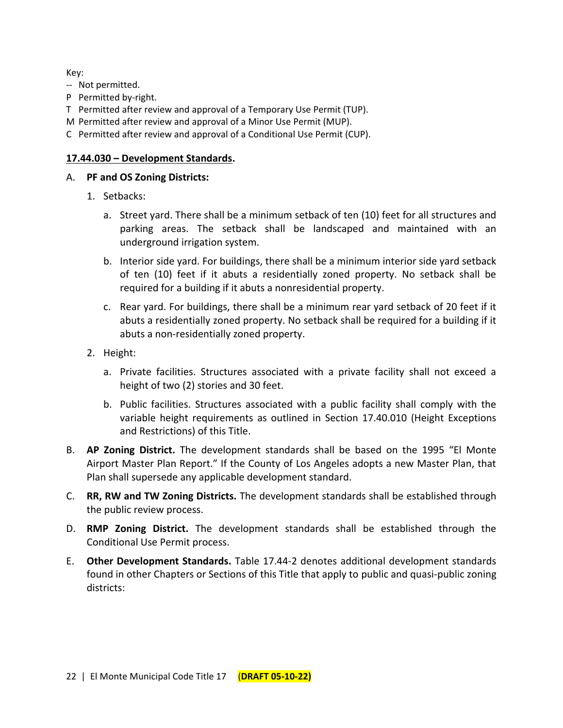Key:

- -- Not permitted.
- P Permitted by-right.
- T Permitted after review and approval of a Temporary Use Permit (TUP).
- M Permitted after review and approval of a Minor Use Permit (MUP).
- C Permitted after review and approval of a Conditional Use Permit (CUP).

#### **17.44.030 – Development Standards.**

#### A. **PF and OS Zoning Districts:**

- 1. Setbacks:
	- a. Street yard. There shall be a minimum setback of ten (10) feet for all structures and parking areas. The setback shall be landscaped and maintained with an underground irrigation system.
	- b. Interior side yard. For buildings, there shall be a minimum interior side yard setback of ten (10) feet if it abuts a residentially zoned property. No setback shall be required for a building if it abuts a nonresidential property.
	- c. Rear yard. For buildings, there shall be a minimum rear yard setback of 20 feet if it abuts a residentially zoned property. No setback shall be required for a building if it abuts a non-residentially zoned property.
- 2. Height:
	- a. Private facilities. Structures associated with a private facility shall not exceed a height of two (2) stories and 30 feet.
	- b. Public facilities. Structures associated with a public facility shall comply with the variable height requirements as outlined in Section 17.40.010 (Height Exceptions and Restrictions) of this Title.
- B. **AP Zoning District.** The development standards shall be based on the 1995 "El Monte Airport Master Plan Report." If the County of Los Angeles adopts a new Master Plan, that Plan shall supersede any applicable development standard.
- C. **RR, RW and TW Zoning Districts.** The development standards shall be established through the public review process.
- D. **RMP Zoning District.** The development standards shall be established through the Conditional Use Permit process.
- E. **Other Development Standards.** Table 17.44-2 denotes additional development standards found in other Chapters or Sections of this Title that apply to public and quasi-public zoning districts: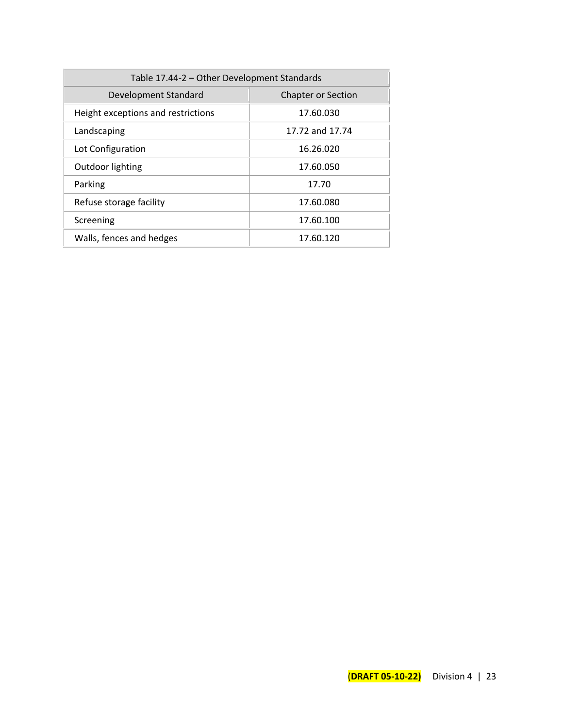| Table 17.44-2 - Other Development Standards       |                 |  |  |  |
|---------------------------------------------------|-----------------|--|--|--|
| Development Standard<br><b>Chapter or Section</b> |                 |  |  |  |
| Height exceptions and restrictions                | 17.60.030       |  |  |  |
| Landscaping                                       | 17.72 and 17.74 |  |  |  |
| Lot Configuration                                 | 16.26.020       |  |  |  |
| Outdoor lighting                                  | 17.60.050       |  |  |  |
| Parking                                           | 17.70           |  |  |  |
| Refuse storage facility                           | 17.60.080       |  |  |  |
| Screening                                         | 17.60.100       |  |  |  |
| Walls, fences and hedges                          | 17.60.120       |  |  |  |